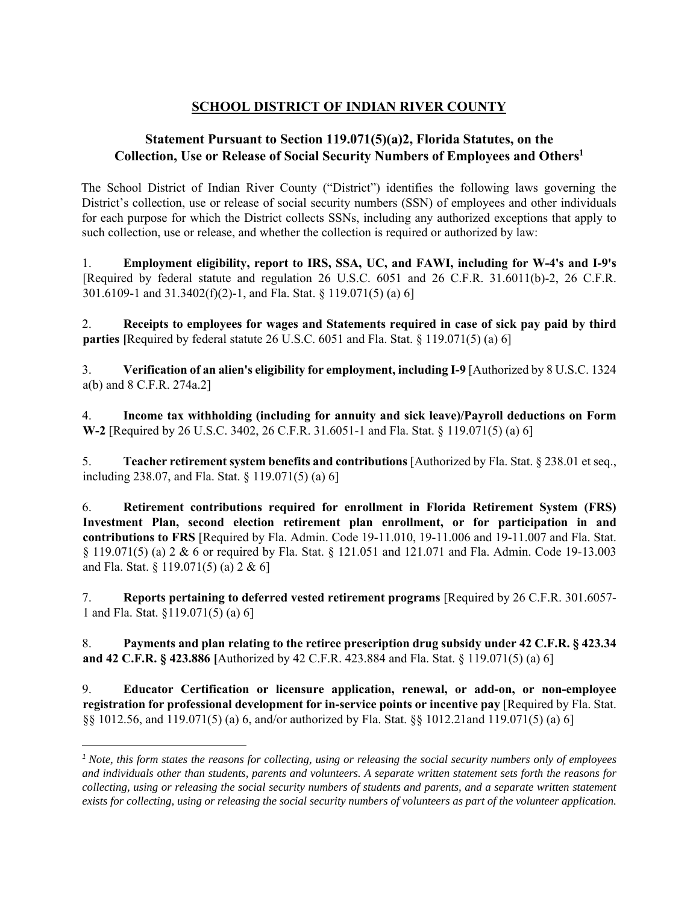## **SCHOOL DISTRICT OF INDIAN RIVER COUNTY**

## **Statement Pursuant to Section 119.071(5)(a)2, Florida Statutes, on the Collection, Use or Release of Social Security Numbers of Employees and Others1**

The School District of Indian River County ("District") identifies the following laws governing the District's collection, use or release of social security numbers (SSN) of employees and other individuals for each purpose for which the District collects SSNs, including any authorized exceptions that apply to such collection, use or release, and whether the collection is required or authorized by law:

1. **Employment eligibility, report to IRS, SSA, UC, and FAWI, including for W-4's and I-9's**  [Required by federal statute and regulation 26 U.S.C. 6051 and 26 C.F.R. 31.6011(b)-2, 26 C.F.R. 301.6109-1 and 31.3402(f)(2)-1, and Fla. Stat. § 119.071(5) (a) 6]

2. **Receipts to employees for wages and Statements required in case of sick pay paid by third parties** [Required by federal statute 26 U.S.C. 6051 and Fla. Stat. § 119.071(5) (a) 6]

3. **Verification of an alien's eligibility for employment, including I-9** [Authorized by 8 U.S.C. 1324 a(b) and 8 C.F.R. 274a.2]

4. **Income tax withholding (including for annuity and sick leave)/Payroll deductions on Form W-2** [Required by 26 U.S.C. 3402, 26 C.F.R. 31.6051-1 and Fla. Stat. § 119.071(5) (a) 6]

5. **Teacher retirement system benefits and contributions** [Authorized by Fla. Stat. § 238.01 et seq., including 238.07, and Fla. Stat. § 119.071(5) (a) 6]

6. **Retirement contributions required for enrollment in Florida Retirement System (FRS) Investment Plan, second election retirement plan enrollment, or for participation in and contributions to FRS** [Required by Fla. Admin. Code 19-11.010, 19-11.006 and 19-11.007 and Fla. Stat. § 119.071(5) (a) 2 & 6 or required by Fla. Stat. § 121.051 and 121.071 and Fla. Admin. Code 19-13.003 and Fla. Stat. § 119.071(5) (a) 2 & 6]

7. **Reports pertaining to deferred vested retirement programs** [Required by 26 C.F.R. 301.6057- 1 and Fla. Stat. §119.071(5) (a) 6]

8. **Payments and plan relating to the retiree prescription drug subsidy under 42 C.F.R. § 423.34 and 42 C.F.R. § 423.886 [**Authorized by 42 C.F.R. 423.884 and Fla. Stat. § 119.071(5) (a) 6]

9. **Educator Certification or licensure application, renewal, or add-on, or non-employee registration for professional development for in-service points or incentive pay** [Required by Fla. Stat. §§ 1012.56, and 119.071(5) (a) 6, and/or authorized by Fla. Stat. §§ 1012.21and 119.071(5) (a) 6]

<sup>&</sup>lt;sup>1</sup> Note, this form states the reasons for collecting, using or releasing the social security numbers only of employees *and individuals other than students, parents and volunteers. A separate written statement sets forth the reasons for collecting, using or releasing the social security numbers of students and parents, and a separate written statement exists for collecting, using or releasing the social security numbers of volunteers as part of the volunteer application.*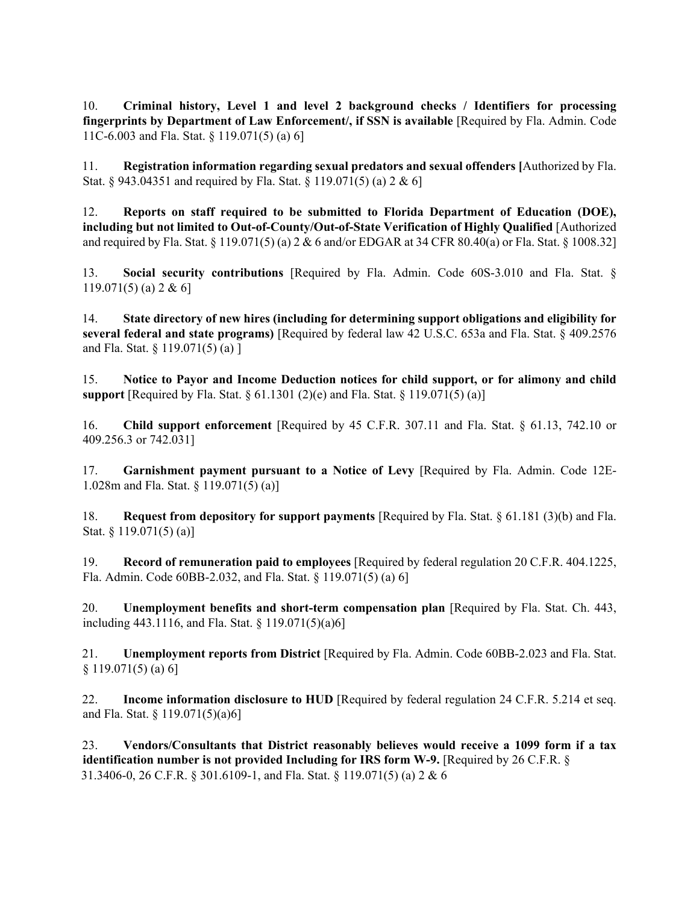10. **Criminal history, Level 1 and level 2 background checks / Identifiers for processing fingerprints by Department of Law Enforcement/, if SSN is available** [Required by Fla. Admin. Code 11C-6.003 and Fla. Stat. § 119.071(5) (a) 6]

11. **Registration information regarding sexual predators and sexual offenders [**Authorized by Fla. Stat. § 943.04351 and required by Fla. Stat. § 119.071(5) (a) 2 & 6]

12. **Reports on staff required to be submitted to Florida Department of Education (DOE), including but not limited to Out-of-County/Out-of-State Verification of Highly Qualified** [Authorized and required by Fla. Stat. § 119.071(5) (a) 2 & 6 and/or EDGAR at 34 CFR 80.40(a) or Fla. Stat. § 1008.32]

13. **Social security contributions** [Required by Fla. Admin. Code 60S-3.010 and Fla. Stat. § 119.071(5) (a) 2 & 6]

14. **State directory of new hires (including for determining support obligations and eligibility for several federal and state programs)** [Required by federal law 42 U.S.C. 653a and Fla. Stat. § 409.2576 and Fla. Stat. § 119.071(5) (a) ]

15. **Notice to Payor and Income Deduction notices for child support, or for alimony and child support** [Required by Fla. Stat. § 61.1301 (2)(e) and Fla. Stat. § 119.071(5) (a)]

16. **Child support enforcement** [Required by 45 C.F.R. 307.11 and Fla. Stat. § 61.13, 742.10 or 409.256.3 or 742.031]

17. **Garnishment payment pursuant to a Notice of Levy** [Required by Fla. Admin. Code 12E-1.028m and Fla. Stat. § 119.071(5) (a)]

18. **Request from depository for support payments** [Required by Fla. Stat. § 61.181 (3)(b) and Fla. Stat. § 119.071(5) (a)]

19. **Record of remuneration paid to employees** [Required by federal regulation 20 C.F.R. 404.1225, Fla. Admin. Code 60BB-2.032, and Fla. Stat. § 119.071(5) (a) 6]

20. **Unemployment benefits and short-term compensation plan** [Required by Fla. Stat. Ch. 443, including 443.1116, and Fla. Stat. § 119.071(5)(a)6]

21. **Unemployment reports from District** [Required by Fla. Admin. Code 60BB-2.023 and Fla. Stat.  $§ 119.071(5)$  (a) 6]

22. **Income information disclosure to HUD** [Required by federal regulation 24 C.F.R. 5.214 et seq. and Fla. Stat. § 119.071(5)(a)6]

23. **Vendors/Consultants that District reasonably believes would receive a 1099 form if a tax identification number is not provided Including for IRS form W-9.** [Required by 26 C.F.R. § 31.3406-0, 26 C.F.R. § 301.6109-1, and Fla. Stat. § 119.071(5) (a) 2 & 6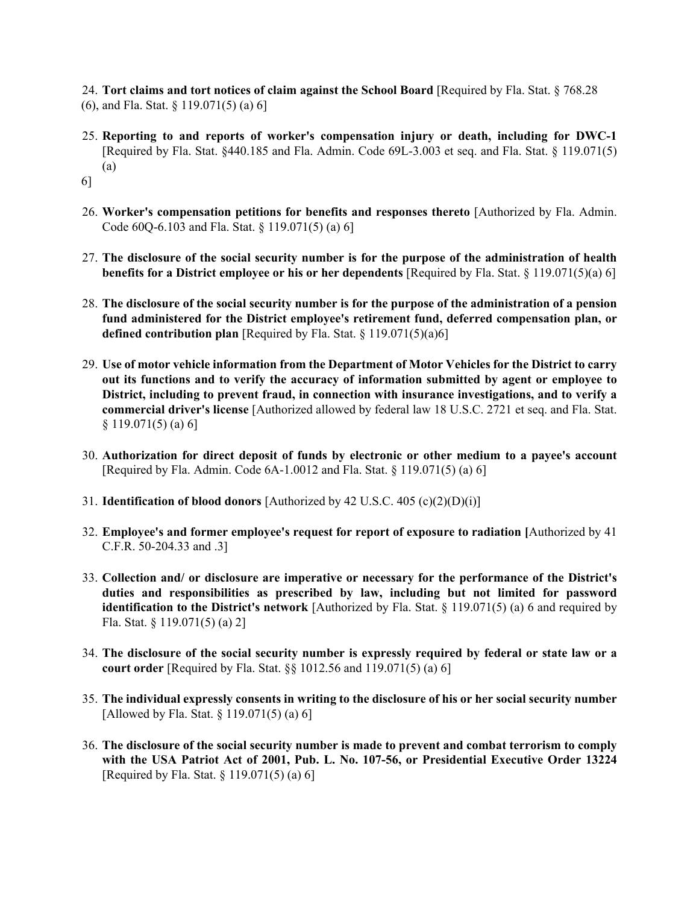24. **Tort claims and tort notices of claim against the School Board** [Required by Fla. Stat. § 768.28 (6), and Fla. Stat. § 119.071(5) (a) 6]

- 25. **Reporting to and reports of worker's compensation injury or death, including for DWC-1**  [Required by Fla. Stat. §440.185 and Fla. Admin. Code 69L-3.003 et seq. and Fla. Stat. § 119.071(5) (a)
- 6]
- 26. **Worker's compensation petitions for benefits and responses thereto** [Authorized by Fla. Admin. Code 60Q-6.103 and Fla. Stat. § 119.071(5) (a) 6]
- 27. **The disclosure of the social security number is for the purpose of the administration of health benefits for a District employee or his or her dependents** [Required by Fla. Stat. § 119.071(5)(a) 6]
- 28. **The disclosure of the social security number is for the purpose of the administration of a pension fund administered for the District employee's retirement fund, deferred compensation plan, or defined contribution plan** [Required by Fla. Stat. § 119.071(5)(a)6]
- 29. **Use of motor vehicle information from the Department of Motor Vehicles for the District to carry out its functions and to verify the accuracy of information submitted by agent or employee to District, including to prevent fraud, in connection with insurance investigations, and to verify a commercial driver's license** [Authorized allowed by federal law 18 U.S.C. 2721 et seq. and Fla. Stat.  $§ 119.071(5) (a) 6]$
- 30. **Authorization for direct deposit of funds by electronic or other medium to a payee's account**  [Required by Fla. Admin. Code 6A-1.0012 and Fla. Stat. § 119.071(5) (a) 6]
- 31. **Identification of blood donors** [Authorized by 42 U.S.C. 405 (c)(2)(D)(i)]
- 32. **Employee's and former employee's request for report of exposure to radiation [**Authorized by 41 C.F.R. 50-204.33 and .3]
- 33. **Collection and/ or disclosure are imperative or necessary for the performance of the District's duties and responsibilities as prescribed by law, including but not limited for password identification to the District's network** [Authorized by Fla. Stat. § 119.071(5) (a) 6 and required by Fla. Stat. § 119.071(5) (a) 2]
- 34. **The disclosure of the social security number is expressly required by federal or state law or a court order** [Required by Fla. Stat. §§ 1012.56 and 119.071(5) (a) 6]
- 35. **The individual expressly consents in writing to the disclosure of his or her social security number**  [Allowed by Fla. Stat. § 119.071(5) (a) 6]
- 36. **The disclosure of the social security number is made to prevent and combat terrorism to comply with the USA Patriot Act of 2001, Pub. L. No. 107-56, or Presidential Executive Order 13224**  [Required by Fla. Stat. § 119.071(5) (a) 6]